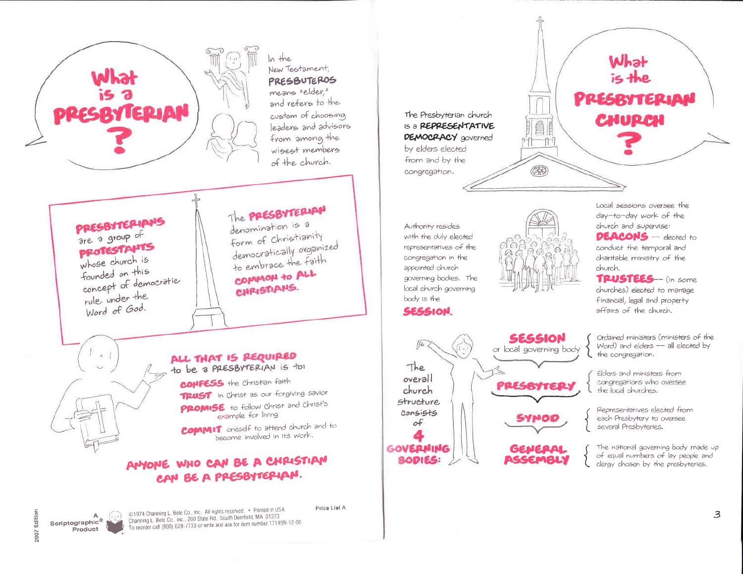

PRESBYTERIANS

**PROTESTANTS** 

whose church is

founded on this

rule under the

Word of God.

a 1

concept of democratic

are a group of

 $ln$  the New Testament, **PRESBUTEROS** means "elder," and refers to the custom of choosing leaders and advisors from among the wisest members of the church.

The **PRESBYTERIAN** 

form of Christianity

to embrace the faith

COMMON to ALL

CHRISTIANS.

ALL THAT IS REQUIRED

to be a PRESBYTERIAN is to:

**CONFESS** the Christian faith

AMONE WHO CAN BE A CHRISTIAN

CAN BE A PRESBYTERIAN.

TRUST in Christ as our forgiving savior

**PROMISE** to follow Christ and Christ's

**COMMIT** oneself to attend church and to

become involved in its work.

Price List A

example for living

democratically organized

denomination is a

# IS a **REPRESENTATIVE** DEMOCRACY governed by elders elected from and by the congregation.

The Presbyterian church



### **SESSION.**



Local sessions oversee the day-to-day work of the church and supervise: **DEACONS** -- elected to conduct the temporal and charitable ministry of the church. **TRUSTEES**-- (In some

What

 $i<sub>6</sub> + h<sub>0</sub>$ 

PRESBYTERIAN

CHURCH

Ê

**B** 

SESSION

or local governing body

PRESRYTERY

churches) elected to manage financial, legal and property affairs of the church.

Ordained ministers (ministers of the Word) and elders -- all elected by the congregation.

Elders and ministers from congregations who oversee the local churches.

Representatives elected from each Presbytery to oversee several Presbyteries.

The national governing body made up of equal numbers of lay people and dergy chosen by the presbyteries.

3

with the duly elected representatives of the congregation in the appointed church local church governing body is the

A<br>Scriptographic® Product



2007 Edition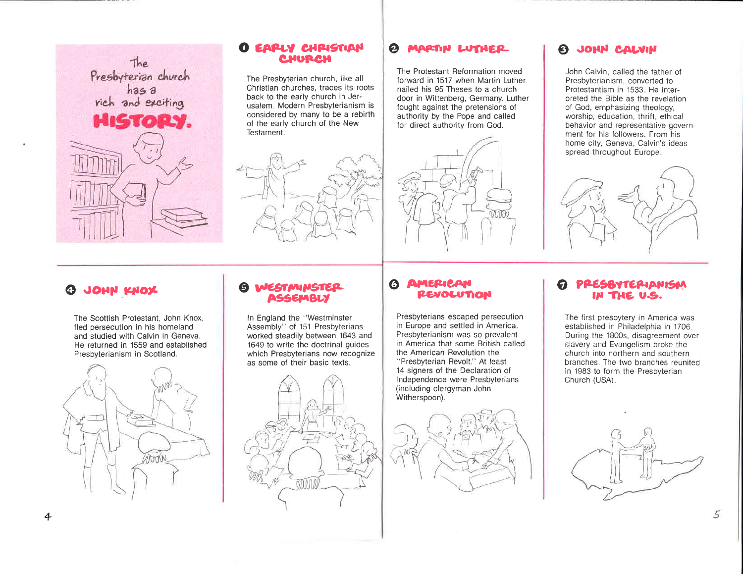

# EAPLY CHRISTIAN

The Presbyterian church, like all Christian churches, traces its roots back to the early church in Jerusalem. Modern Presbyterianism is considered by many to be a rebirth of the early church of the New Testament.



# MARTIN LUTHER

The Protestant Reformation moved forward in 1517 when Martin Luther nailed his 95 Theses to a church door in Wittenberg, Germany. Luther fought against the pretensions of authority by the Pope and called for direct authority from God.



# JOHN CALVIN

John Calvin, called the father of Presbyterianism, converted to Protestantism in 1533 He interpreted the Bible as the revelation of God, emphasizing theology, worship, education, thrift, ethical behavior and representative government for his followers. From his home city, Geneva, Calvin's ideas spread throughout Europe



# **O JOHN KHOY**

The Scottish Protestant, John Knox, fled oersecution in his homeland and studied with Calvin in Geneva. He returned in 1559 and established Presbyterianism in Scotland.



# O WESTMINSTER

In England the "Westminster Assembly" of 151 Presbyterians worked steadily between 1643 and 1649 to write the doctrinal guides which Presbyterians now recognize as some of their basic texts.



# **@ AMERICAN**<br>REVOLUTION

Presbyterians escaped persecution in Europe and settled in America. Presbyterianism was so prevalent in America that some British called the American Revolution the "Presbyterian Revolt." At least 14 signers of the Declaration of Independence were Presbyterians (including clergyman John Witherspoon).



# SSBYTERIANISM IN THE U.S.

The first presbytery in America was established in Philadelphia in 1706 During the 1800s, disagreement over slavery and Evangelism broke the church into northern and southern branches The two branches reunited in 1983 to form the Presbvterian Church (USA)

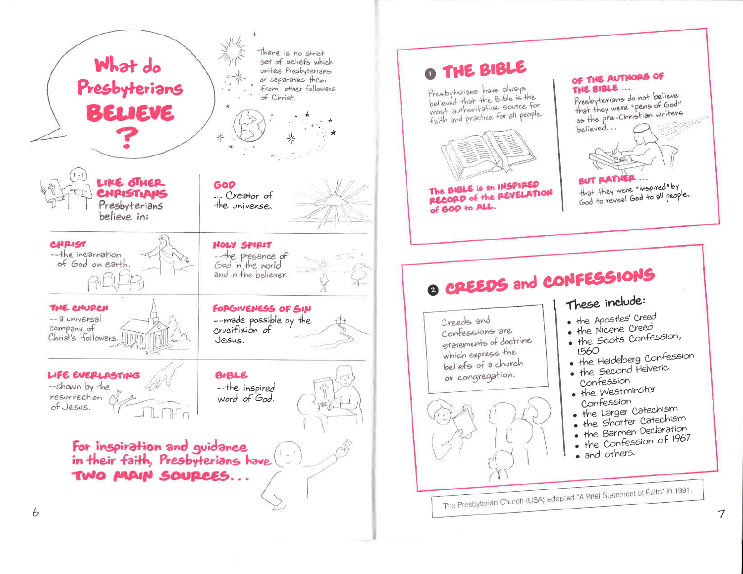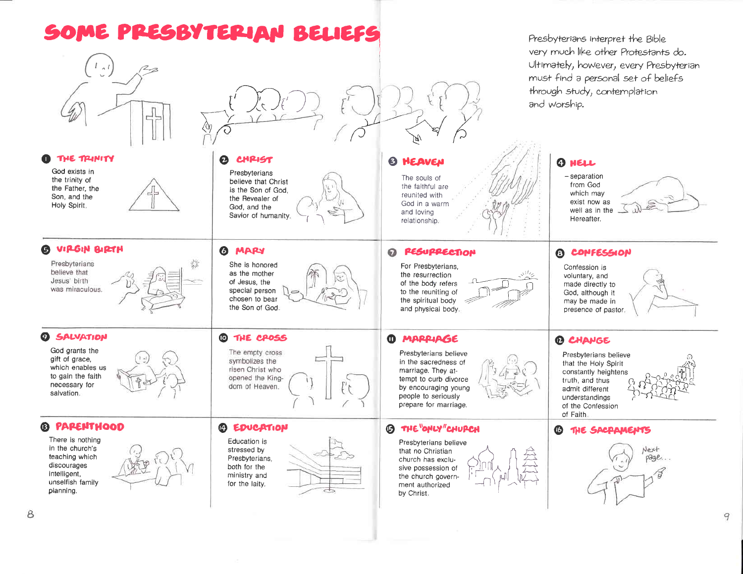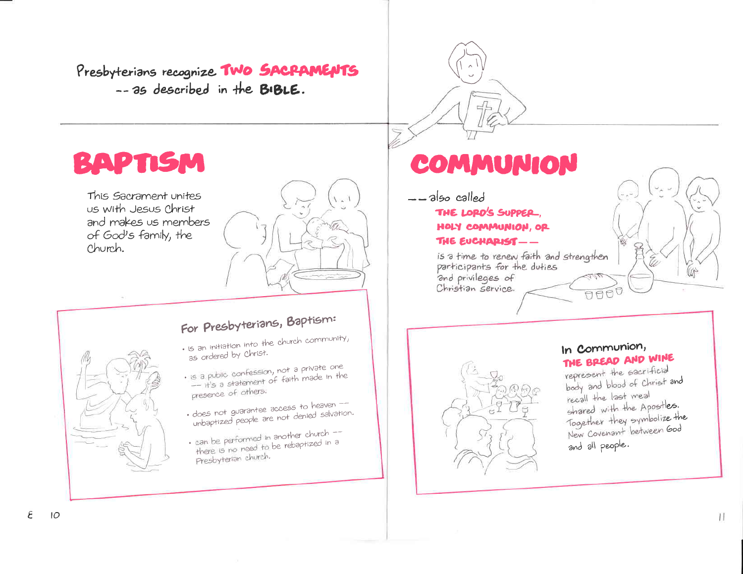Presbyterians recognize TWO SACPAMENTS -- as described in the **BIBLE**.

# **BAPTISM**

This Sacrament unites us with Jesus Christ and makes us members of God's family, the Church.

# For Presbyterians, Baptism:

 $\cdot$  is an initiation into the church community,

 $1 - 1$ 

- as ordered by Christ.
- · is a public confession, not a private one -- it's a statement of faith made in the presence of others.
- · does not guarantee access to heaven --
- unbaptized people are not denied salvation.
- · can be performed in another church --
- there is no need to be rebaptized in a Presbyterian church.

# COMMUNION

 $-$ -also called THE LOPO'S SUPPER. HOLY COMMUNION, OR THE EUCHARIST --

> is a time to renew faith and strengthen participants for the duties and privileges of Christian service.  $\widetilde{\mathbb{Q}\boxtimes\mathbb{Q}}\mathbb{Q}$



represent the sacrificial body and blood of Christ and recall the last meal shared with the Apostles. Together they symbolize the New Covenant between God and all people.

 $\frac{1}{2}$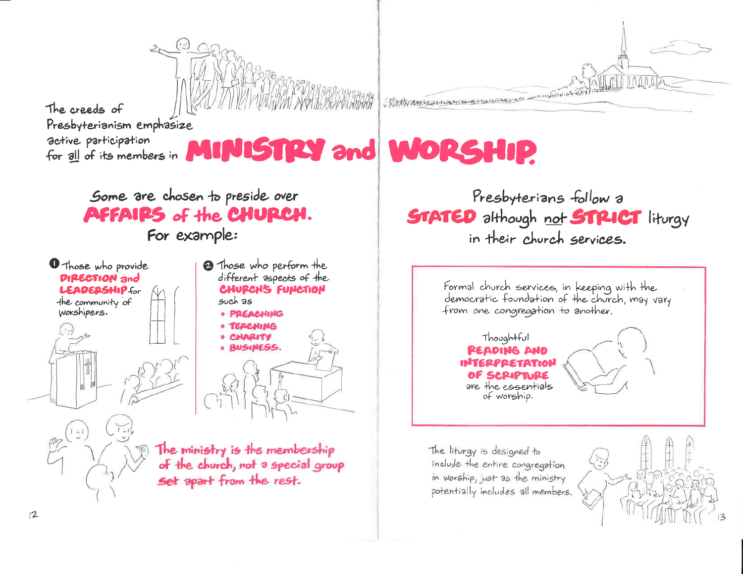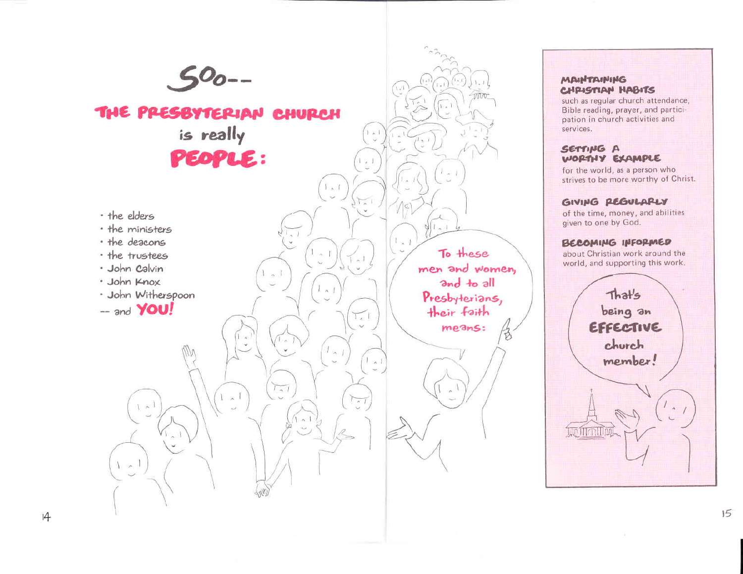

### MAINTAINING CHPISTIAN HABITS

such as regular church attendance, Bible reading, prayer, and participation in church activities and services.

### SETTING A WORTHY EXAMPLE

for the world, as a person who strives to be more worthy of Christ.

# GIVING PEGULARLY

of the time, money, and abilities given to one by God.

### BECOMING INFORMED

about Christian work around the world, and supporting this work.